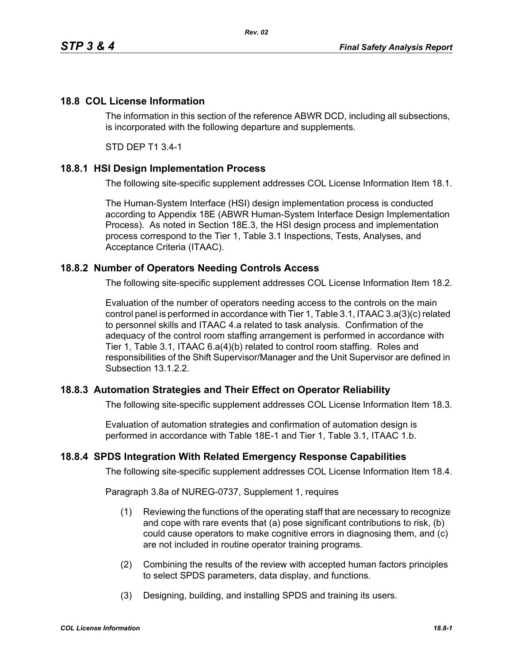## **18.8 COL License Information**

The information in this section of the reference ABWR DCD, including all subsections, is incorporated with the following departure and supplements.

*Rev. 02*

STD DEP T1 3.4-1

### **18.8.1 HSI Design Implementation Process**

The following site-specific supplement addresses COL License Information Item 18.1.

The Human-System Interface (HSI) design implementation process is conducted according to Appendix 18E (ABWR Human-System Interface Design Implementation Process). As noted in Section 18E.3, the HSI design process and implementation process correspond to the Tier 1, Table 3.1 Inspections, Tests, Analyses, and Acceptance Criteria (ITAAC).

### **18.8.2 Number of Operators Needing Controls Access**

The following site-specific supplement addresses COL License Information Item 18.2.

Evaluation of the number of operators needing access to the controls on the main control panel is performed in accordance with Tier 1, Table 3.1, ITAAC 3.a(3)(c) related to personnel skills and ITAAC 4.a related to task analysis. Confirmation of the adequacy of the control room staffing arrangement is performed in accordance with Tier 1, Table 3.1, ITAAC 6.a(4)(b) related to control room staffing. Roles and responsibilities of the Shift Supervisor/Manager and the Unit Supervisor are defined in Subsection 13.1.2.2.

## **18.8.3 Automation Strategies and Their Effect on Operator Reliability**

The following site-specific supplement addresses COL License Information Item 18.3.

Evaluation of automation strategies and confirmation of automation design is performed in accordance with Table 18E-1 and Tier 1, Table 3.1, ITAAC 1.b.

### **18.8.4 SPDS Integration With Related Emergency Response Capabilities**

The following site-specific supplement addresses COL License Information Item 18.4.

Paragraph 3.8a of NUREG-0737, Supplement 1, requires

- (1) Reviewing the functions of the operating staff that are necessary to recognize and cope with rare events that (a) pose significant contributions to risk, (b) could cause operators to make cognitive errors in diagnosing them, and (c) are not included in routine operator training programs.
- (2) Combining the results of the review with accepted human factors principles to select SPDS parameters, data display, and functions.
- (3) Designing, building, and installing SPDS and training its users.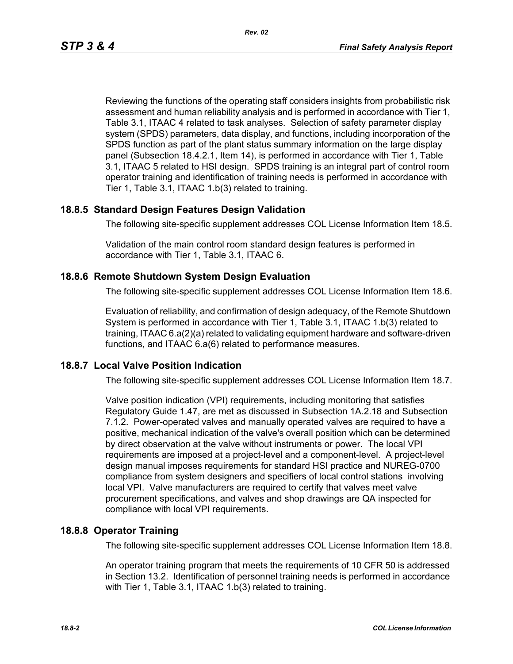Reviewing the functions of the operating staff considers insights from probabilistic risk assessment and human reliability analysis and is performed in accordance with Tier 1, Table 3.1, ITAAC 4 related to task analyses. Selection of safety parameter display system (SPDS) parameters, data display, and functions, including incorporation of the SPDS function as part of the plant status summary information on the large display panel (Subsection 18.4.2.1, Item 14), is performed in accordance with Tier 1, Table 3.1, ITAAC 5 related to HSI design. SPDS training is an integral part of control room operator training and identification of training needs is performed in accordance with Tier 1, Table 3.1, ITAAC 1.b(3) related to training.

### **18.8.5 Standard Design Features Design Validation**

The following site-specific supplement addresses COL License Information Item 18.5.

Validation of the main control room standard design features is performed in accordance with Tier 1, Table 3.1, ITAAC 6.

### **18.8.6 Remote Shutdown System Design Evaluation**

The following site-specific supplement addresses COL License Information Item 18.6.

Evaluation of reliability, and confirmation of design adequacy, of the Remote Shutdown System is performed in accordance with Tier 1, Table 3.1, ITAAC 1.b(3) related to training, ITAAC 6.a(2)(a) related to validating equipment hardware and software-driven functions, and ITAAC 6.a(6) related to performance measures.

### **18.8.7 Local Valve Position Indication**

The following site-specific supplement addresses COL License Information Item 18.7.

Valve position indication (VPI) requirements, including monitoring that satisfies Regulatory Guide 1.47, are met as discussed in Subsection 1A.2.18 and Subsection 7.1.2. Power-operated valves and manually operated valves are required to have a positive, mechanical indication of the valve's overall position which can be determined by direct observation at the valve without instruments or power. The local VPI requirements are imposed at a project-level and a component-level. A project-level design manual imposes requirements for standard HSI practice and NUREG-0700 compliance from system designers and specifiers of local control stations involving local VPI. Valve manufacturers are required to certify that valves meet valve procurement specifications, and valves and shop drawings are QA inspected for compliance with local VPI requirements.

### **18.8.8 Operator Training**

The following site-specific supplement addresses COL License Information Item 18.8.

An operator training program that meets the requirements of 10 CFR 50 is addressed in Section 13.2. Identification of personnel training needs is performed in accordance with Tier 1, Table 3.1, ITAAC 1.b(3) related to training.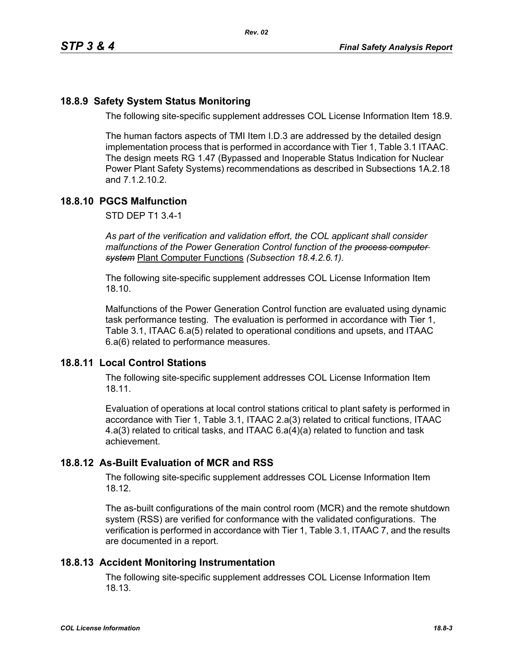# **18.8.9 Safety System Status Monitoring**

The following site-specific supplement addresses COL License Information Item 18.9.

The human factors aspects of TMI Item I.D.3 are addressed by the detailed design implementation process that is performed in accordance with Tier 1, Table 3.1 ITAAC. The design meets RG 1.47 (Bypassed and Inoperable Status Indication for Nuclear Power Plant Safety Systems) recommendations as described in Subsections 1A.2.18 and 7.1.2.10.2.

## **18.8.10 PGCS Malfunction**

STD DEP T1 3.4-1

*As part of the verification and validation effort, the COL applicant shall consider malfunctions of the Power Generation Control function of the process computer system* Plant Computer Functions *(Subsection 18.4.2.6.1).*

The following site-specific supplement addresses COL License Information Item 18.10.

Malfunctions of the Power Generation Control function are evaluated using dynamic task performance testing. The evaluation is performed in accordance with Tier 1, Table 3.1, ITAAC 6.a(5) related to operational conditions and upsets, and ITAAC 6.a(6) related to performance measures.

## **18.8.11 Local Control Stations**

The following site-specific supplement addresses COL License Information Item 18.11.

Evaluation of operations at local control stations critical to plant safety is performed in accordance with Tier 1, Table 3.1, ITAAC 2.a(3) related to critical functions, ITAAC 4.a(3) related to critical tasks, and ITAAC 6.a(4)(a) related to function and task achievement.

## **18.8.12 As-Built Evaluation of MCR and RSS**

The following site-specific supplement addresses COL License Information Item 18.12.

The as-built configurations of the main control room (MCR) and the remote shutdown system (RSS) are verified for conformance with the validated configurations. The verification is performed in accordance with Tier 1, Table 3.1, ITAAC 7, and the results are documented in a report.

## **18.8.13 Accident Monitoring Instrumentation**

The following site-specific supplement addresses COL License Information Item 18.13.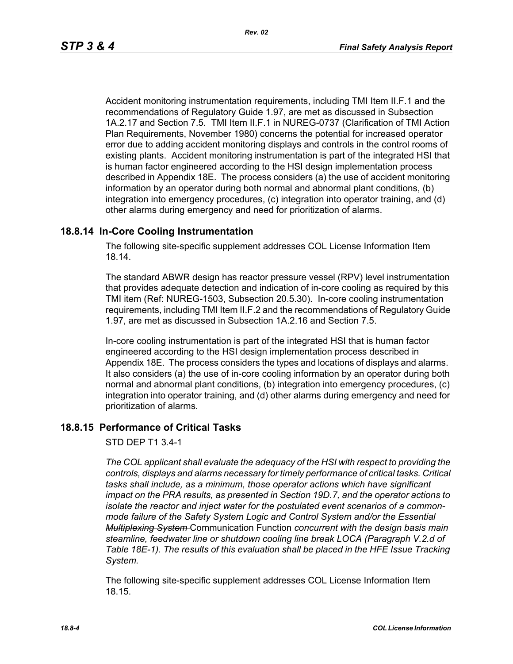Accident monitoring instrumentation requirements, including TMI Item II.F.1 and the recommendations of Regulatory Guide 1.97, are met as discussed in Subsection 1A.2.17 and Section 7.5. TMI Item II.F.1 in NUREG-0737 (Clarification of TMI Action Plan Requirements, November 1980) concerns the potential for increased operator error due to adding accident monitoring displays and controls in the control rooms of existing plants. Accident monitoring instrumentation is part of the integrated HSI that is human factor engineered according to the HSI design implementation process described in Appendix 18E. The process considers (a) the use of accident monitoring information by an operator during both normal and abnormal plant conditions, (b) integration into emergency procedures, (c) integration into operator training, and (d) other alarms during emergency and need for prioritization of alarms.

### **18.8.14 In-Core Cooling Instrumentation**

The following site-specific supplement addresses COL License Information Item 18.14.

The standard ABWR design has reactor pressure vessel (RPV) level instrumentation that provides adequate detection and indication of in-core cooling as required by this TMI item (Ref: NUREG-1503, Subsection 20.5.30). In-core cooling instrumentation requirements, including TMI Item II.F.2 and the recommendations of Regulatory Guide 1.97, are met as discussed in Subsection 1A.2.16 and Section 7.5.

In-core cooling instrumentation is part of the integrated HSI that is human factor engineered according to the HSI design implementation process described in Appendix 18E. The process considers the types and locations of displays and alarms. It also considers (a) the use of in-core cooling information by an operator during both normal and abnormal plant conditions, (b) integration into emergency procedures, (c) integration into operator training, and (d) other alarms during emergency and need for prioritization of alarms.

### **18.8.15 Performance of Critical Tasks**

#### STD DEP T1 3.4-1

*The COL applicant shall evaluate the adequacy of the HSI with respect to providing the controls, displays and alarms necessary for timely performance of critical tasks. Critical tasks shall include, as a minimum, those operator actions which have significant impact on the PRA results, as presented in Section 19D.7, and the operator actions to isolate the reactor and inject water for the postulated event scenarios of a commonmode failure of the Safety System Logic and Control System and/or the Essential Multiplexing System* Communication Function *concurrent with the design basis main steamline, feedwater line or shutdown cooling line break LOCA (Paragraph V.2.d of Table 18E-1). The results of this evaluation shall be placed in the HFE Issue Tracking System.*

The following site-specific supplement addresses COL License Information Item 18.15.